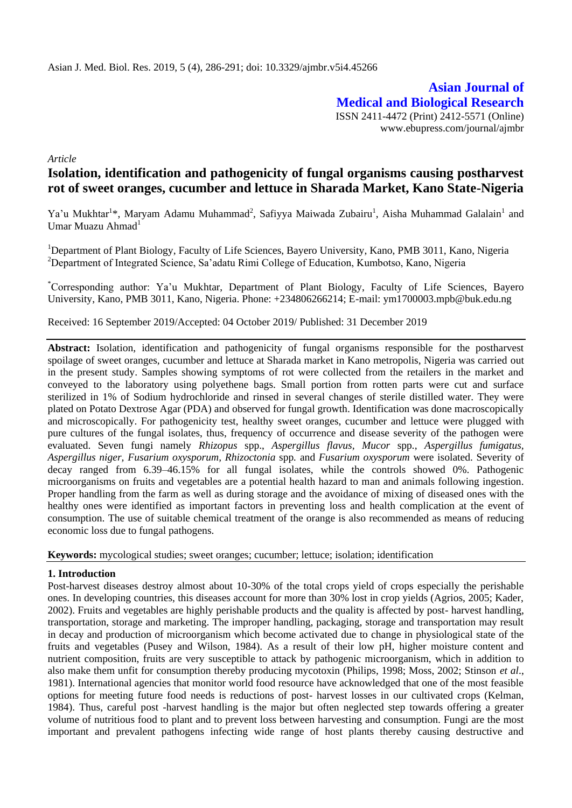**Asian Journal of Medical and Biological Research** ISSN 2411-4472 (Print) 2412-5571 (Online) www.ebupress.com/journal/ajmbr

*Article*

# **Isolation, identification and pathogenicity of fungal organisms causing postharvest rot of sweet oranges, cucumber and lettuce in Sharada Market, Kano State-Nigeria**

Ya'u Mukhtar<sup>1\*</sup>, Maryam Adamu Muhammad<sup>2</sup>, Safiyya Maiwada Zubairu<sup>1</sup>, Aisha Muhammad Galalain<sup>1</sup> and Umar Muazu Ahmad<sup>1</sup>

<sup>1</sup>Department of Plant Biology, Faculty of Life Sciences, Bayero University, Kano, PMB 3011, Kano, Nigeria <sup>2</sup>Department of Integrated Science, Sa'adatu Rimi College of Education, Kumbotso, Kano, Nigeria

\*Corresponding author: Ya'u Mukhtar, Department of Plant Biology, Faculty of Life Sciences, Bayero University, Kano, PMB 3011, Kano, Nigeria. Phone: +234806266214; E-mail: [ym1700003.mpb@buk.edu.ng](mailto:ym1700003.mpb@buk.edu.ng)

Received: 16 September 2019/Accepted: 04 October 2019/ Published: 31 December 2019

**Abstract:** Isolation, identification and pathogenicity of fungal organisms responsible for the postharvest spoilage of sweet oranges, cucumber and lettuce at Sharada market in Kano metropolis, Nigeria was carried out in the present study. Samples showing symptoms of rot were collected from the retailers in the market and conveyed to the laboratory using polyethene bags. Small portion from rotten parts were cut and surface sterilized in 1% of Sodium hydrochloride and rinsed in several changes of sterile distilled water. They were plated on Potato Dextrose Agar (PDA) and observed for fungal growth. Identification was done macroscopically and microscopically. For pathogenicity test, healthy sweet oranges, cucumber and lettuce were plugged with pure cultures of the fungal isolates, thus, frequency of occurrence and disease severity of the pathogen were evaluated. Seven fungi namely *Rhizopus* spp., *Aspergillus flavus, Mucor* spp*.*, *Aspergillus fumigatus, Aspergillus niger, Fusarium oxysporum, Rhizoctonia* spp*.* and *Fusarium oxysporum* were isolated. Severity of decay ranged from 6.39–46.15% for all fungal isolates, while the controls showed 0%. Pathogenic microorganisms on fruits and vegetables are a potential health hazard to man and animals following ingestion. Proper handling from the farm as well as during storage and the avoidance of mixing of diseased ones with the healthy ones were identified as important factors in preventing loss and health complication at the event of consumption. The use of suitable chemical treatment of the orange is also recommended as means of reducing economic loss due to fungal pathogens.

**Keywords:** mycological studies; sweet oranges; cucumber; lettuce; isolation; identification

#### **1. Introduction**

Post-harvest diseases destroy almost about 10-30% of the total crops yield of crops especially the perishable ones. In developing countries, this diseases account for more than 30% lost in crop yields (Agrios, 2005; Kader, 2002). Fruits and vegetables are highly perishable products and the quality is affected by post- harvest handling, transportation, storage and marketing. The improper handling, packaging, storage and transportation may result in decay and production of microorganism which become activated due to change in physiological state of the fruits and vegetables (Pusey and Wilson, 1984). As a result of their low pH, higher moisture content and nutrient composition, fruits are very susceptible to attack by pathogenic microorganism, which in addition to also make them unfit for consumption thereby producing mycotoxin (Philips, 1998; Moss, 2002; Stinson *et al*., 1981). International agencies that monitor world food resource have acknowledged that one of the most feasible options for meeting future food needs is reductions of post- harvest losses in our cultivated crops (Kelman, 1984). Thus, careful post -harvest handling is the major but often neglected step towards offering a greater volume of nutritious food to plant and to prevent loss between harvesting and consumption. Fungi are the most important and prevalent pathogens infecting wide range of host plants thereby causing destructive and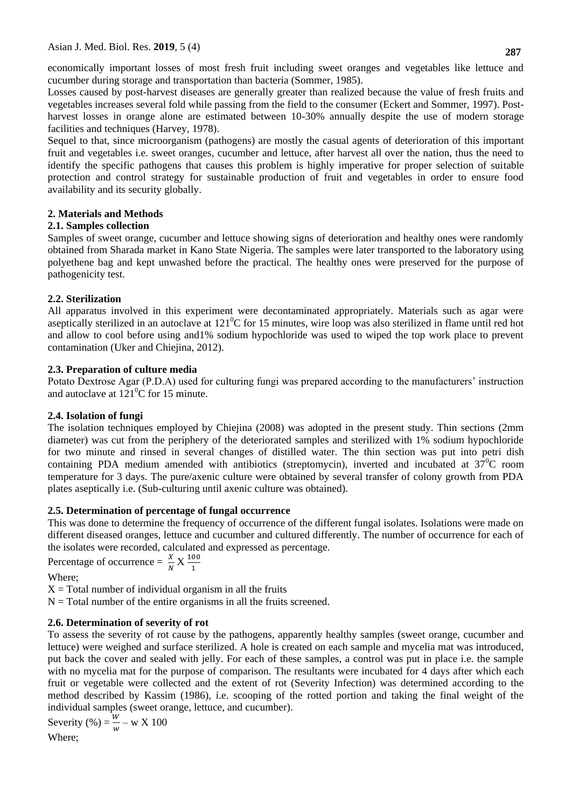economically important losses of most fresh fruit including sweet oranges and vegetables like lettuce and cucumber during storage and transportation than bacteria (Sommer, 1985).

Losses caused by post-harvest diseases are generally greater than realized because the value of fresh fruits and vegetables increases several fold while passing from the field to the consumer (Eckert and Sommer, 1997). Postharvest losses in orange alone are estimated between 10-30% annually despite the use of modern storage facilities and techniques (Harvey, 1978).

Sequel to that, since microorganism (pathogens) are mostly the casual agents of deterioration of this important fruit and vegetables i.e. sweet oranges, cucumber and lettuce, after harvest all over the nation, thus the need to identify the specific pathogens that causes this problem is highly imperative for proper selection of suitable protection and control strategy for sustainable production of fruit and vegetables in order to ensure food availability and its security globally.

# **2. Materials and Methods**

### **2.1. Samples collection**

Samples of sweet orange, cucumber and lettuce showing signs of deterioration and healthy ones were randomly obtained from Sharada market in Kano State Nigeria. The samples were later transported to the laboratory using polyethene bag and kept unwashed before the practical. The healthy ones were preserved for the purpose of pathogenicity test.

### **2.2. Sterilization**

All apparatus involved in this experiment were decontaminated appropriately. Materials such as agar were aseptically sterilized in an autoclave at  $121^{\circ}$ C for 15 minutes, wire loop was also sterilized in flame until red hot and allow to cool before using and1% sodium hypochloride was used to wiped the top work place to prevent contamination (Uker and Chiejina, 2012).

### **2.3. Preparation of culture media**

Potato Dextrose Agar (P.D.A) used for culturing fungi was prepared according to the manufacturers' instruction and autoclave at  $121^0$ C for 15 minute.

# **2.4. Isolation of fungi**

The isolation techniques employed by Chiejina (2008) was adopted in the present study. Thin sections (2mm diameter) was cut from the periphery of the deteriorated samples and sterilized with 1% sodium hypochloride for two minute and rinsed in several changes of distilled water. The thin section was put into petri dish containing PDA medium amended with antibiotics (streptomycin), inverted and incubated at  $37^{\circ}$ C room temperature for 3 days. The pure/axenic culture were obtained by several transfer of colony growth from PDA plates aseptically i.e. (Sub-culturing until axenic culture was obtained).

# **2.5. Determination of percentage of fungal occurrence**

This was done to determine the frequency of occurrence of the different fungal isolates. Isolations were made on different diseased oranges, lettuce and cucumber and cultured differently. The number of occurrence for each of the isolates were recorded, calculated and expressed as percentage.

Percentage of occurrence  $=$   $\frac{4}{N}$  X  $\frac{10}{1}$ 

Where;

 $X = Total number of individual organism in all the fruits$ 

 $N = Total number of the entire organisms in all the fruits screened.$ 

# **2.6. Determination of severity of rot**

To assess the severity of rot cause by the pathogens, apparently healthy samples (sweet orange, cucumber and lettuce) were weighed and surface sterilized. A hole is created on each sample and mycelia mat was introduced, put back the cover and sealed with jelly. For each of these samples, a control was put in place i.e. the sample with no mycelia mat for the purpose of comparison. The resultants were incubated for 4 days after which each fruit or vegetable were collected and the extent of rot (Severity Infection) was determined according to the method described by Kassim (1986), i.e. scooping of the rotted portion and taking the final weight of the individual samples (sweet orange, lettuce, and cucumber).

Severity (%) =  $\frac{w}{w}$  – w X 100 Where;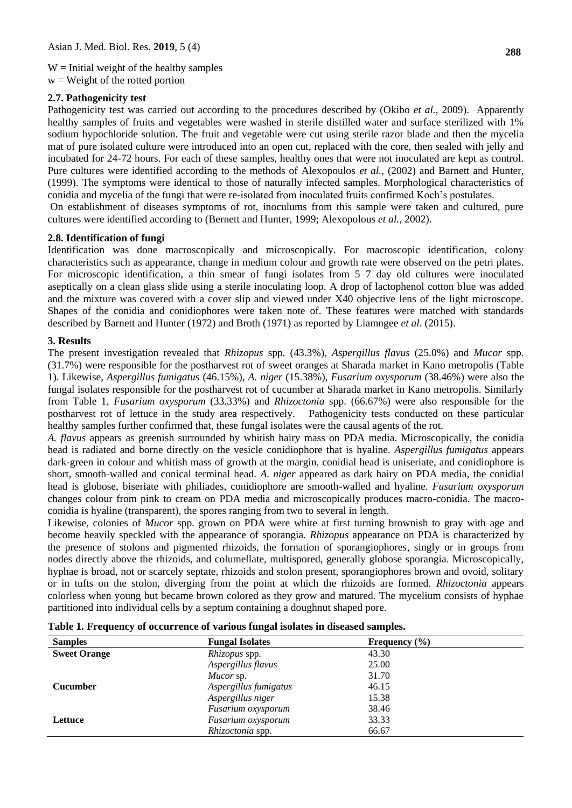$W =$  Initial weight of the healthy samples

 $w = Weight of the rotated portion$ 

### **2.7. Pathogenicity test**

Pathogenicity test was carried out according to the procedures described by (Okibo *et al.,* 2009). Apparently healthy samples of fruits and vegetables were washed in sterile distilled water and surface sterilized with 1% sodium hypochloride solution. The fruit and vegetable were cut using sterile razor blade and then the mycelia mat of pure isolated culture were introduced into an open cut, replaced with the core, then sealed with jelly and incubated for 24-72 hours. For each of these samples, healthy ones that were not inoculated are kept as control. Pure cultures were identified according to the methods of Alexopoulos *et al.,* (2002) and Barnett and Hunter, (1999). The symptoms were identical to those of naturally infected samples. Morphological characteristics of conidia and mycelia of the fungi that were re-isolated from inoculated fruits confirmed Koch's postulates.

On establishment of diseases symptoms of rot, inoculums from this sample were taken and cultured, pure cultures were identified according to (Bernett and Hunter, 1999; Alexopolous *et al.,* 2002).

#### **2.8. Identification of fungi**

Identification was done macroscopically and microscopically. For macroscopic identification, colony characteristics such as appearance, change in medium colour and growth rate were observed on the petri plates. For microscopic identification, a thin smear of fungi isolates from 5–7 day old cultures were inoculated aseptically on a clean glass slide using a sterile inoculating loop. A drop of lactophenol cotton blue was added and the mixture was covered with a cover slip and viewed under X40 objective lens of the light microscope. Shapes of the conidia and conidiophores were taken note of. These features were matched with standards described by Barnett and Hunter (1972) and Broth (1971) as reported by Liamngee *et al*. (2015).

#### **3. Results**

The present investigation revealed that *Rhizopus* spp*.* (43.3%)*, Aspergillus flavus* (25.0%) and *Mucor* spp*.*  (31.7%) were responsible for the postharvest rot of sweet oranges at Sharada market in Kano metropolis (Table 1). Likewise, *Aspergillus fumigatus* (46.15%), *A. niger* (15.38%), *Fusarium oxysporum* (38.46%) were also the fungal isolates responsible for the postharvest rot of cucumber at Sharada market in Kano metropolis. Similarly from Table 1, *Fusarium oxysporum* (33.33%) and *Rhizoctonia* spp. (66.67%) were also responsible for the postharvest rot of lettuce in the study area respectively.Pathogenicity tests conducted on these particular healthy samples further confirmed that, these fungal isolates were the causal agents of the rot.

*A. flavus* appears as greenish surrounded by whitish hairy mass on PDA media. Microscopically, the conidia head is radiated and borne directly on the vesicle conidiophore that is hyaline. *Aspergillus fumigatus* appears dark-green in colour and whitish mass of growth at the margin, conidial head is uniseriate, and conidiophore is short, smooth-walled and conical terminal head. *A. niger* appeared as dark hairy on PDA media, the conidial head is globose, biseriate with philiades, conidiophore are smooth-walled and hyaline. *Fusarium oxysporum* changes colour from pink to cream on PDA media and microscopically produces macro-conidia. The macroconidia is hyaline (transparent), the spores ranging from two to several in length.

Likewise, colonies of *Mucor* spp*.* grown on PDA were white at first turning brownish to gray with age and become heavily speckled with the appearance of sporangia. *Rhizopus* appearance on PDA is characterized by the presence of stolons and pigmented rhizoids, the fornation of sporangiophores, singly or in groups from nodes directly above the rhizoids, and columellate, multispored, generally globose sporangia. Microscopically, hyphae is broad, not or scarcely septate, rhizoids and stolon present, sporangiophores brown and ovoid, solitary or in tufts on the stolon, diverging from the point at which the rhizoids are formed. *Rhizoctonia* appears colorless when young but became brown colored as they grow and matured. The mycelium consists of hyphae partitioned into individual cells by a septum containing a doughnut shaped pore.

| <b>Samples</b>      | <b>Fungal Isolates</b> | Frequency $(\% )$ |  |
|---------------------|------------------------|-------------------|--|
| <b>Sweet Orange</b> | <i>Rhizopus</i> spp.   | 43.30             |  |
|                     | Aspergillus flavus     | 25.00             |  |
|                     | Mucor sp.              | 31.70             |  |
| <b>Cucumber</b>     | Aspergillus fumigatus  | 46.15             |  |
|                     | Aspergillus niger      | 15.38             |  |
|                     | Fusarium oxysporum     | 38.46             |  |
| Lettuce             | Fusarium oxysporum     | 33.33             |  |
|                     | Rhizoctonia spp.       | 66.67             |  |

**Table 1. Frequency of occurrence of various fungal isolates in diseased samples.**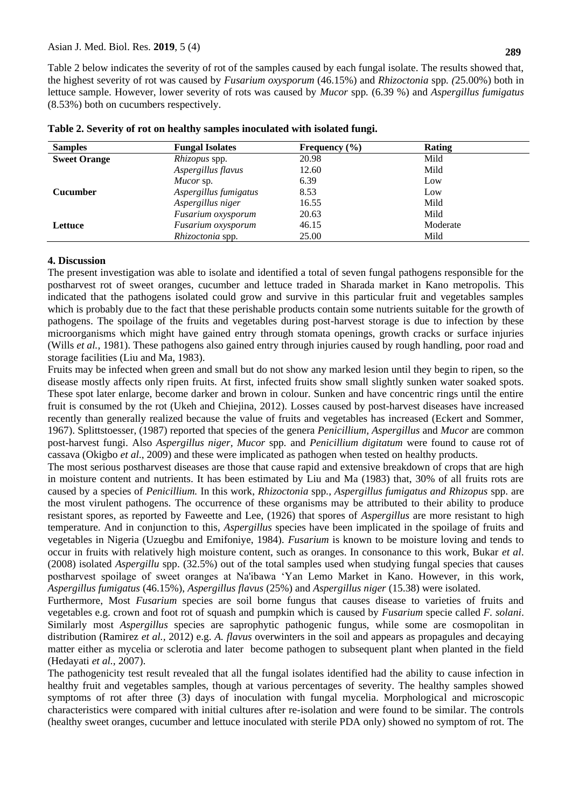Table 2 below indicates the severity of rot of the samples caused by each fungal isolate. The results showed that, the highest severity of rot was caused by *Fusarium oxysporum* (46.15%) and *Rhizoctonia* spp*. (*25.00%) both in lettuce sample. However, lower severity of rots was caused by *Mucor* spp*.* (6.39 %) and *Aspergillus fumigatus*  (8.53%) both on cucumbers respectively.

| <b>Samples</b>      | <b>Fungal Isolates</b>  | Frequency $(\% )$ | Rating   |  |
|---------------------|-------------------------|-------------------|----------|--|
| <b>Sweet Orange</b> | <i>Rhizopus</i> spp.    | 20.98             | Mild     |  |
|                     | Aspergillus flavus      | 12.60             | Mild     |  |
|                     | Mucor sp.               | 6.39              | Low      |  |
| <b>Cucumber</b>     | Aspergillus fumigatus   | 8.53              | Low      |  |
|                     | Aspergillus niger       | 16.55             | Mild     |  |
|                     | Fusarium oxysporum      | 20.63             | Mild     |  |
| Lettuce             | Fusarium oxysporum      | 46.15             | Moderate |  |
|                     | <i>Rhizoctonia</i> spp. | 25.00             | Mild     |  |

|  |  |  | Table 2. Severity of rot on healthy samples inoculated with isolated fungi. |  |  |
|--|--|--|-----------------------------------------------------------------------------|--|--|
|  |  |  |                                                                             |  |  |

#### **4. Discussion**

The present investigation was able to isolate and identified a total of seven fungal pathogens responsible for the postharvest rot of sweet oranges, cucumber and lettuce traded in Sharada market in Kano metropolis. This indicated that the pathogens isolated could grow and survive in this particular fruit and vegetables samples which is probably due to the fact that these perishable products contain some nutrients suitable for the growth of pathogens. The spoilage of the fruits and vegetables during post-harvest storage is due to infection by these microorganisms which might have gained entry through stomata openings, growth cracks or surface injuries (Wills *et al.,* 1981). These pathogens also gained entry through injuries caused by rough handling, poor road and storage facilities (Liu and Ma, 1983).

Fruits may be infected when green and small but do not show any marked lesion until they begin to ripen, so the disease mostly affects only ripen fruits. At first, infected fruits show small slightly sunken water soaked spots. These spot later enlarge, become darker and brown in colour. Sunken and have concentric rings until the entire fruit is consumed by the rot (Ukeh and Chiejina, 2012). Losses caused by post-harvest diseases have increased recently than generally realized because the value of fruits and vegetables has increased (Eckert and Sommer, 1967). Splittstoesser, (1987) reported that species of the genera *Penicillium, Aspergillus* and *Mucor* are common post-harvest fungi. Also *Aspergillus niger, Mucor* spp*.* and *Penicillium digitatum* were found to cause rot of cassava (Okigbo *et al*., 2009) and these were implicated as pathogen when tested on healthy products.

The most serious postharvest diseases are those that cause rapid and extensive breakdown of crops that are high in moisture content and nutrients. It has been estimated by Liu and Ma (1983) that, 30% of all fruits rots are caused by a species of *Penicillium.* In this work, *Rhizoctonia* spp*., Aspergillus fumigatus and Rhizopus* spp. are the most virulent pathogens. The occurrence of these organisms may be attributed to their ability to produce resistant spores, as reported by Faweette and Lee, (1926) that spores of *Aspergillus* are more resistant to high temperature. And in conjunction to this, *Aspergillus* species have been implicated in the spoilage of fruits and vegetables in Nigeria (Uzuegbu and Emifoniye, 1984). *Fusarium* is known to be moisture loving and tends to occur in fruits with relatively high moisture content, such as oranges. In consonance to this work, Bukar *et al*. (2008) isolated *Aspergillu* spp. (32.5%) out of the total samples used when studying fungal species that causes postharvest spoilage of sweet oranges at Na'ibawa 'Yan Lemo Market in Kano. However, in this work, *Aspergillus fumigatus* (46.15%), *Aspergillus flavus* (25%) and *Aspergillus niger* (15.38) were isolated.

Furthermore, Most *Fusarium* species are soil borne fungus that causes disease to varieties of fruits and vegetables e.g. crown and foot rot of squash and pumpkin which is caused by *Fusarium* specie called *F. solani*. Similarly most *Aspergillus* species are saprophytic pathogenic fungus, while some are cosmopolitan in distribution (Ramirez *et al.,* 2012) e.g. *A. flavus* overwinters in the soil and appears as propagules and decaying matter either as mycelia or sclerotia and later become pathogen to subsequent plant when planted in the field (Hedayati *et al.,* 2007).

The pathogenicity test result revealed that all the fungal isolates identified had the ability to cause infection in healthy fruit and vegetables samples, though at various percentages of severity. The healthy samples showed symptoms of rot after three (3) days of inoculation with fungal mycelia. Morphological and microscopic characteristics were compared with initial cultures after re-isolation and were found to be similar. The controls (healthy sweet oranges, cucumber and lettuce inoculated with sterile PDA only) showed no symptom of rot. The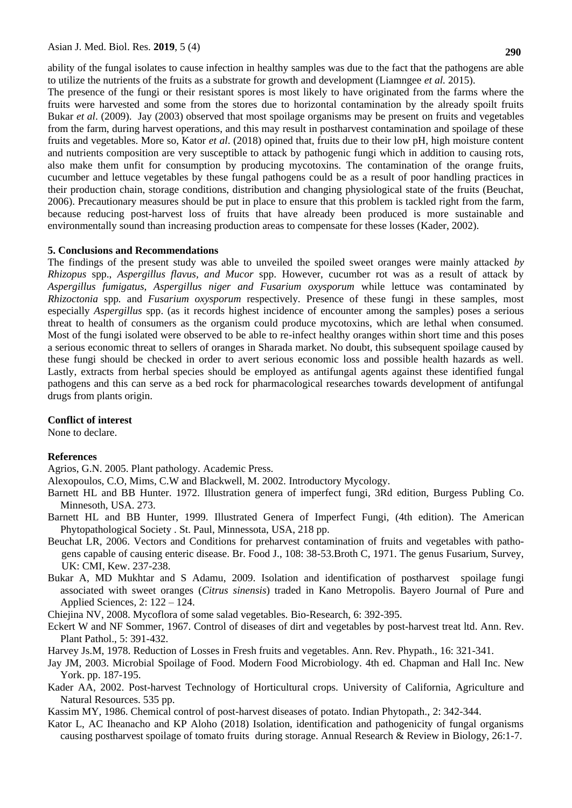ability of the fungal isolates to cause infection in healthy samples was due to the fact that the pathogens are able to utilize the nutrients of the fruits as a substrate for growth and development (Liamngee *et al.* 2015).

The presence of the fungi or their resistant spores is most likely to have originated from the farms where the fruits were harvested and some from the stores due to horizontal contamination by the already spoilt fruits Bukar *et al*. (2009). Jay (2003) observed that most spoilage organisms may be present on fruits and vegetables from the farm, during harvest operations, and this may result in postharvest contamination and spoilage of these fruits and vegetables. More so, Kator *et al*. (2018) opined that, fruits due to their low pH, high moisture content and nutrients composition are very susceptible to attack by pathogenic fungi which in addition to causing rots, also make them unfit for consumption by producing mycotoxins. The contamination of the orange fruits, cucumber and lettuce vegetables by these fungal pathogens could be as a result of poor handling practices in their production chain, storage conditions, distribution and changing physiological state of the fruits (Beuchat, 2006). Precautionary measures should be put in place to ensure that this problem is tackled right from the farm, because reducing post-harvest loss of fruits that have already been produced is more sustainable and environmentally sound than increasing production areas to compensate for these losses (Kader, 2002).

#### **5. Conclusions and Recommendations**

The findings of the present study was able to unveiled the spoiled sweet oranges were mainly attacked *by Rhizopus* spp., *Aspergillus flavus, and Mucor* spp. However, cucumber rot was as a result of attack by *Aspergillus fumigatus, Aspergillus niger and Fusarium oxysporum* while lettuce was contaminated by *Rhizoctonia* spp*.* and *Fusarium oxysporum* respectively*.* Presence of these fungi in these samples, most especially *Aspergillus* spp. (as it records highest incidence of encounter among the samples) poses a serious threat to health of consumers as the organism could produce mycotoxins, which are lethal when consumed. Most of the fungi isolated were observed to be able to re-infect healthy oranges within short time and this poses a serious economic threat to sellers of oranges in Sharada market. No doubt, this subsequent spoilage caused by these fungi should be checked in order to avert serious economic loss and possible health hazards as well. Lastly, extracts from herbal species should be employed as antifungal agents against these identified fungal pathogens and this can serve as a bed rock for pharmacological researches towards development of antifungal drugs from plants origin.

#### **Conflict of interest**

None to declare.

#### **References**

Agrios, G.N. 2005. Plant pathology. Academic Press.

Alexopoulos, C.O, Mims, C.W and Blackwell, M. 2002. Introductory Mycology.

- Barnett HL and BB Hunter. 1972. Illustration genera of imperfect fungi, 3Rd edition, Burgess Publing Co. Minnesoth, USA. 273.
- Barnett HL and BB Hunter, 1999. Illustrated Genera of Imperfect Fungi, (4th edition). The American Phytopathological Society . St. Paul, Minnessota, USA, 218 pp.
- Beuchat LR, 2006. Vectors and Conditions for preharvest contamination of fruits and vegetables with pathogens capable of causing enteric disease. Br. Food J., 108: 38-53.Broth C, 1971. The genus Fusarium, Survey, UK: CMI, Kew. 237-238.
- Bukar A, MD Mukhtar and S Adamu, 2009. Isolation and identification of postharvest spoilage fungi associated with sweet oranges (*Citrus sinensis*) traded in Kano Metropolis. Bayero Journal of Pure and Applied Sciences*,* 2: 122 – 124.

Chiejina NV, 2008. Mycoflora of some salad vegetables. Bio-Research, 6: 392-395.

Eckert W and NF Sommer, 1967. Control of diseases of dirt and vegetables by post-harvest treat ltd. Ann. Rev. Plant Pathol., 5: 391-432.

Harvey Js.M, 1978. Reduction of Losses in Fresh fruits and vegetables. Ann. Rev. Phypath., 16: 321-341.

- Jay JM, 2003. Microbial Spoilage of Food. Modern Food Microbiology. 4th ed. Chapman and Hall Inc. New York. pp. 187-195.
- Kader AA, 2002. Post-harvest Technology of Horticultural crops*.* University of California, Agriculture and Natural Resources. 535 pp.

Kassim MY, 1986. Chemical control of post-harvest diseases of potato. Indian Phytopath., 2: 342-344.

Kator L, AC Iheanacho and KP Aloho (2018) Isolation, identification and pathogenicity of fungal organisms causing postharvest spoilage of tomato fruits during storage. Annual Research & Review in Biology, 26:1-7.